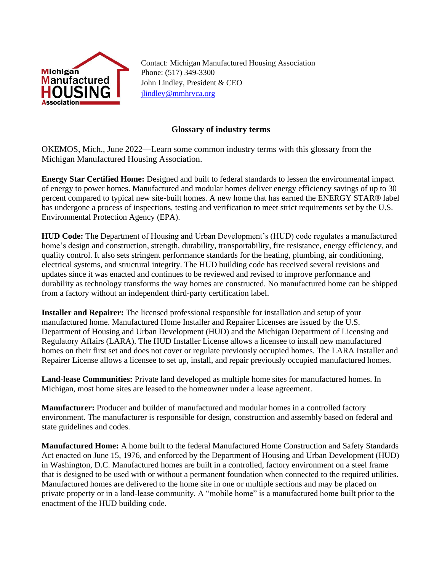

Contact: Michigan Manufactured Housing Association Phone: (517) 349-3300 John Lindley, President & CEO [jlindley@mmhrvca.org](mailto:jlindley@mmhrvca.org)

## **Glossary of industry terms**

OKEMOS, Mich., June 2022—Learn some common industry terms with this glossary from the Michigan Manufactured Housing Association.

**Energy Star Certified Home:** Designed and built to federal standards to lessen the environmental impact of energy to power homes. Manufactured and modular homes deliver energy efficiency savings of up to 30 percent compared to typical new site-built homes. A new home that has earned the ENERGY STAR® label has undergone a process of inspections, testing and verification to meet strict requirements set by the U.S. Environmental Protection Agency (EPA).

**HUD Code:** The Department of Housing and Urban Development's (HUD) code regulates a manufactured home's design and construction, strength, durability, transportability, fire resistance, energy efficiency, and quality control. It also sets stringent performance standards for the heating, plumbing, air conditioning, electrical systems, and structural integrity. The HUD building code has received several revisions and updates since it was enacted and continues to be reviewed and revised to improve performance and durability as technology transforms the way homes are constructed. No manufactured home can be shipped from a factory without an independent third-party certification label.

**Installer and Repairer:** The licensed professional responsible for installation and setup of your manufactured home. Manufactured Home Installer and Repairer Licenses are issued by the U.S. Department of Housing and Urban Development (HUD) and the Michigan Department of Licensing and Regulatory Affairs (LARA). The HUD Installer License allows a licensee to install new manufactured homes on their first set and does not cover or regulate previously occupied homes. The LARA Installer and Repairer License allows a licensee to set up, install, and repair previously occupied manufactured homes.

**Land-lease Communities:** Private land developed as multiple home sites for manufactured homes. In Michigan, most home sites are leased to the homeowner under a lease agreement.

**Manufacturer:** Producer and builder of manufactured and modular homes in a controlled factory environment. The manufacturer is responsible for design, construction and assembly based on federal and state guidelines and codes.

**Manufactured Home:** A home built to the federal Manufactured Home Construction and Safety Standards Act enacted on June 15, 1976, and enforced by the Department of Housing and Urban Development (HUD) in Washington, D.C. Manufactured homes are built in a controlled, factory environment on a steel frame that is designed to be used with or without a permanent foundation when connected to the required utilities. Manufactured homes are delivered to the home site in one or multiple sections and may be placed on private property or in a land-lease community. A "mobile home" is a manufactured home built prior to the enactment of the HUD building code.